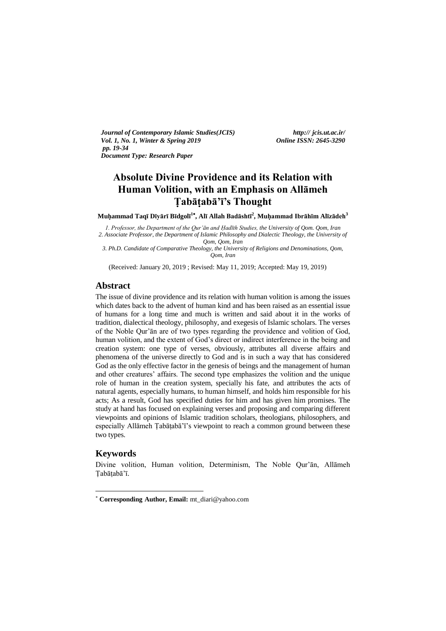*Journal of Contemporary Islamic Studies(JCIS) http:// jcis.ut.ac.ir/ Vol. 1, No. 1, Winter & Spring 2019 Online ISSN: 2645-3290 pp. 19-34 Document Type: Research Paper* 

# **Absolute Divine Providence and its Relation with Human Volition, with an Emphasis on Allāmeh Ṭabāṭabā'ī's Thought**

**Muḥammad Taqī Dīyārī Bīdgolī 1 , Alī Allah Badāshtī<sup>2</sup> , Muḥammad Ibrāhīm Alīzādeh<sup>3</sup>**

*1. Professor, the Department of the Qur'ān and Ḥadīth Studies, the University of Qom. Qom, Iran 2. Associate Professor, the Department of Islamic Philosophy and Dialectic Theology, the University of Qom, Qom, Iran* 

*3. Ph.D. Candidate of Comparative Theology, the University of Religions and Denominations, Qom, Qom, Iran*

(Received: January 20, 2019 ; Revised: May 11, 2019; Accepted: May 19, 2019)

## **Abstract**

The issue of divine providence and its relation with human volition is among the issues which dates back to the advent of human kind and has been raised as an essential issue of humans for a long time and much is written and said about it in the works of tradition, dialectical theology, philosophy, and exegesis of Islamic scholars. The verses of the Noble Qur'ān are of two types regarding the providence and volition of God, human volition, and the extent of God's direct or indirect interference in the being and creation system: one type of verses, obviously, attributes all diverse affairs and phenomena of the universe directly to God and is in such a way that has considered God as the only effective factor in the genesis of beings and the management of human and other creatures' affairs. The second type emphasizes the volition and the unique role of human in the creation system, specially his fate, and attributes the acts of natural agents, especially humans, to human himself, and holds him responsible for his acts; As a result, God has specified duties for him and has given him promises. The study at hand has focused on explaining verses and proposing and comparing different viewpoints and opinions of Islamic tradition scholars, theologians, philosophers, and especially Allāmeh Ṭabāṭabā'ī's viewpoint to reach a common ground between these two types.

## **Keywords**

-

Divine volition, Human volition, Determinism, The Noble Qur'ān, Allāmeh Ṭabāṭabā'ī.

**Corresponding Author, Email:** mt\_diari@yahoo.com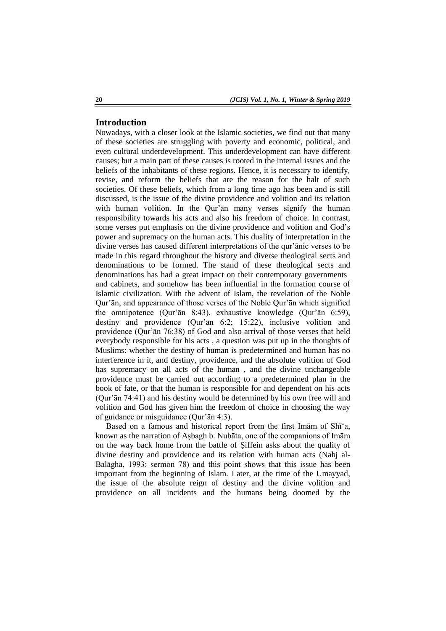## **Introduction**

Nowadays, with a closer look at the Islamic societies, we find out that many of these societies are struggling with poverty and economic, political, and even cultural underdevelopment. This underdevelopment can have different causes; but a main part of these causes is rooted in the internal issues and the beliefs of the inhabitants of these regions. Hence, it is necessary to identify, revise, and reform the beliefs that are the reason for the halt of such societies. Of these beliefs, which from a long time ago has been and is still discussed, is the issue of the divine providence and volition and its relation with human volition. In the Qur'an many verses signify the human responsibility towards his acts and also his freedom of choice. In contrast, some verses put emphasis on the divine providence and volition and God's power and supremacy on the human acts. This duality of interpretation in the divine verses has caused different interpretations of the qur'ānic verses to be made in this regard throughout the history and diverse theological sects and denominations to be formed. The stand of these theological sects and denominations has had a great impact on their contemporary governments and cabinets, and somehow has been influential in the formation course of Islamic civilization. With the advent of Islam, the revelation of the Noble Qur'ān, and appearance of those verses of the Noble Qur'ān which signified the omnipotence (Qur'ān 8:43), exhaustive knowledge (Qur'ān 6:59), destiny and providence (Qur'ān 6:2; 15:22), inclusive volition and providence (Qur'ān 76:38) of God and also arrival of those verses that held everybody responsible for his acts , a question was put up in the thoughts of Muslims: whether the destiny of human is predetermined and human has no interference in it, and destiny, providence, and the absolute volition of God has supremacy on all acts of the human , and the divine unchangeable providence must be carried out according to a predetermined plan in the book of fate, or that the human is responsible for and dependent on his acts (Qur'ān 74:41) and his destiny would be determined by his own free will and volition and God has given him the freedom of choice in choosing the way of guidance or misguidance (Qur'ān 4:3).

Based on a famous and historical report from the first Imam of Shi<sup>\*</sup>a, known as the narration of Aṣbagh b. Nubāta, one of the companions of Imām on the way back home from the battle of Ṣiffein asks about the quality of divine destiny and providence and its relation with human acts (Nahj al-Balāgha, 1993: sermon 78) and this point shows that this issue has been important from the beginning of Islam. Later, at the time of the Umayyad, the issue of the absolute reign of destiny and the divine volition and providence on all incidents and the humans being doomed by the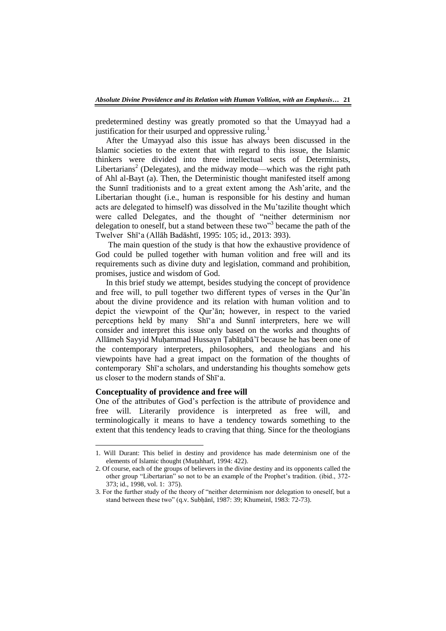predetermined destiny was greatly promoted so that the Umayyad had a justification for their usurped and oppressive ruling.<sup>1</sup>

After the Umayyad also this issue has always been discussed in the Islamic societies to the extent that with regard to this issue, the Islamic thinkers were divided into three intellectual sects of Determinists, Libertarians<sup>2</sup> (Delegates), and the midway mode—which was the right path of Ahl al-Bayt (a). Then, the Deterministic thought manifested itself among the Sunnī traditionists and to a great extent among the Ash'arite, and the Libertarian thought (i.e., human is responsible for his destiny and human acts are delegated to himself) was dissolved in the Mu'tazilite thought which were called Delegates, and the thought of "neither determinism nor delegation to oneself, but a stand between these two<sup>33</sup> became the path of the Twelver Shī‗a (Allāh Badāshtī, 1995: 105; id., 2013: 393).

The main question of the study is that how the exhaustive providence of God could be pulled together with human volition and free will and its requirements such as divine duty and legislation, command and prohibition, promises, justice and wisdom of God.

In this brief study we attempt, besides studying the concept of providence and free will, to pull together two different types of verses in the Qur'ān about the divine providence and its relation with human volition and to depict the viewpoint of the Qur'ān; however, in respect to the varied perceptions held by many Shī‗a and Sunnī interpreters, here we will consider and interpret this issue only based on the works and thoughts of Allāmeh Sayyid Muḥammad Hussayn Ṭabāṭabā'ī because he has been one of the contemporary interpreters, philosophers, and theologians and his viewpoints have had a great impact on the formation of the thoughts of contemporary Shī‗a scholars, and understanding his thoughts somehow gets us closer to the modern stands of Shī‗a.

# **Conceptuality of providence and free will**

1

One of the attributes of God's perfection is the attribute of providence and free will. Literarily providence is interpreted as free will, and terminologically it means to have a tendency towards something to the extent that this tendency leads to craving that thing. Since for the theologians

<sup>1.</sup> Will Durant: This belief in destiny and providence has made determinism one of the elements of Islamic thought (Muṭahharī, 1994: 422).

<sup>2.</sup> Of course, each of the groups of believers in the divine destiny and its opponents called the other group "Libertarian" so not to be an example of the Prophet's tradition. (ibid., 372-373; id., 1998, vol. 1: 375).

<sup>3.</sup> For the further study of the theory of "neither determinism nor delegation to oneself, but a stand between these two" (q.v. Subḥānī, 1987: 39; Khumeinī, 1983: 72-73).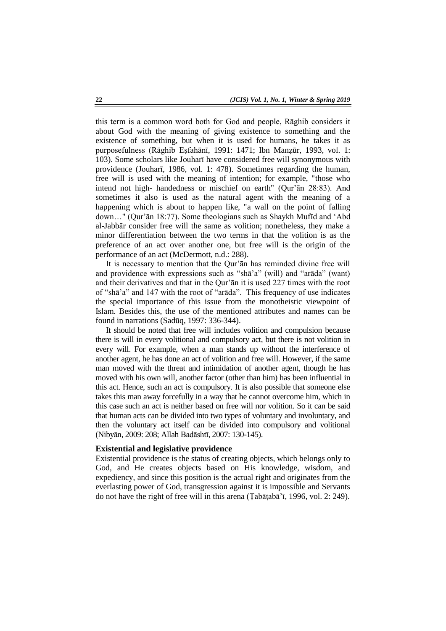this term is a common word both for God and people, Rāghib considers it about God with the meaning of giving existence to something and the existence of something, but when it is used for humans, he takes it as purposefulness (Rāghib Eṣfahānī, 1991: 1471; Ibn Manẓūr, 1993, vol. 1: 103). Some scholars like Jouharī have considered free will synonymous with providence (Jouharī, 1986, vol. 1: 478). Sometimes regarding the human, free will is used with the meaning of intention; for example, "those who intend not high- handedness or mischief on earth" (Qur'ān 28:83). And sometimes it also is used as the natural agent with the meaning of a happening which is about to happen like, "a wall on the point of falling down..." (Qur'ān 18:77). Some theologians such as Shaykh Mufīd and 'Abd al-Jabbār consider free will the same as volition; nonetheless, they make a minor differentiation between the two terms in that the volition is as the preference of an act over another one, but free will is the origin of the performance of an act (McDermott, n.d.: 288).

It is necessary to mention that the Qur'ān has reminded divine free will and providence with expressions such as "sha"a" (will) and "arada" (want) and their derivatives and that in the Qur'ān it is used 227 times with the root of "shā'a" and 147 with the root of "arāda". This frequency of use indicates the special importance of this issue from the monotheistic viewpoint of Islam. Besides this, the use of the mentioned attributes and names can be found in narrations (Sadūq, 1997: 336-344).

It should be noted that free will includes volition and compulsion because there is will in every volitional and compulsory act, but there is not volition in every will. For example, when a man stands up without the interference of another agent, he has done an act of volition and free will. However, if the same man moved with the threat and intimidation of another agent, though he has moved with his own will, another factor (other than him) has been influential in this act. Hence, such an act is compulsory. It is also possible that someone else takes this man away forcefully in a way that he cannot overcome him, which in this case such an act is neither based on free will nor volition. So it can be said that human acts can be divided into two types of voluntary and involuntary, and then the voluntary act itself can be divided into compulsory and volitional (Nibyān, 2009: 208; Allah Badāshtī, 2007: 130-145).

#### **Existential and legislative providence**

Existential providence is the status of creating objects, which belongs only to God, and He creates objects based on His knowledge, wisdom, and expediency, and since this position is the actual right and originates from the everlasting power of God, transgression against it is impossible and Servants do not have the right of free will in this arena (Ṭabāṭabā'ī, 1996, vol. 2: 249).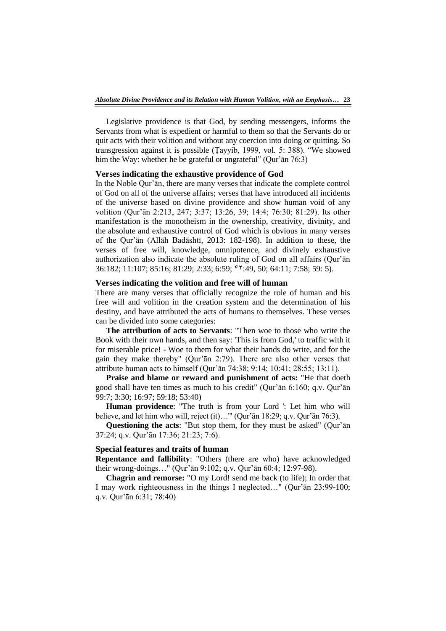Legislative providence is that God, by sending messengers, informs the Servants from what is expedient or harmful to them so that the Servants do or quit acts with their volition and without any coercion into doing or quitting. So transgression against it is possible (Țayyib, 1999, vol. 5: 388). "We showed him the Way: whether he be grateful or ungrateful" (Qur'ān  $76:3$ )

#### **Verses indicating the exhaustive providence of God**

In the Noble Qur'ān, there are many verses that indicate the complete control of God on all of the universe affairs; verses that have introduced all incidents of the universe based on divine providence and show human void of any volition (Qur'ān 2:213, 247; 3:37; 13:26, 39; 14:4; 76:30; 81:29). Its other manifestation is the monotheism in the ownership, creativity, divinity, and the absolute and exhaustive control of God which is obvious in many verses of the Qur'ān (Allāh Badāshtī, 2013: 182-198). In addition to these, the verses of free will, knowledge, omnipotence, and divinely exhaustive authorization also indicate the absolute ruling of God on all affairs (Qur'ān 36:182; 11:107; 85:16; 81:29; 2:33; 6:59; 24:49, 50; 64:11; 7:58; 59: 5).

## **Verses indicating the volition and free will of human**

There are many verses that officially recognize the role of human and his free will and volition in the creation system and the determination of his destiny, and have attributed the acts of humans to themselves. These verses can be divided into some categories:

**The attribution of acts to Servants**: "Then woe to those who write the Book with their own hands, and then say: 'This is from God,' to traffic with it for miserable price! - Woe to them for what their hands do write, and for the gain they make thereby" (Qur'ān 2:79). There are also other verses that attribute human acts to himself (Qur'ān 74:38; 9:14; 10:41; 28:55; 13:11).

**Praise and blame or reward and punishment of acts:** "He that doeth good shall have ten times as much to his credit" (Qur'ān 6:160; q.v. Qur'ān 99:7; 3:30; 16:97; 59:18; 53:40)

**Human providence**: "The truth is from your Lord ': Let him who will believe, and let him who will, reject (it)…'" (Qur'ān 18:29; q.v. Qur'ān 76:3).

**Questioning the acts**: "But stop them, for they must be asked" (Qur'ān 37:24; q.v. Qur'ān 17:36; 21:23; 7:6).

#### **Special features and traits of human**

**Repentance and fallibility**: "Others (there are who) have acknowledged their wrong-doings…" (Qur'ān 9:102; q.v. Qur'ān 60:4; 12:97-98).

**Chagrin and remorse:** "O my Lord! send me back (to life); In order that I may work righteousness in the things I neglected…" (Qur'ān 23:99-100; q.v. Qur'ān 6:31; 78:40)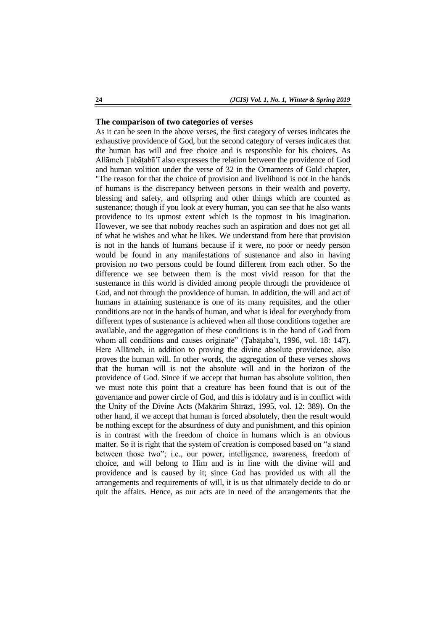#### **The comparison of two categories of verses**

As it can be seen in the above verses, the first category of verses indicates the exhaustive providence of God, but the second category of verses indicates that the human has will and free choice and is responsible for his choices. As Allāmeh Ṭabāṭabā'ī also expresses the relation between the providence of God and human volition under the verse of 32 in the Ornaments of Gold chapter, "The reason for that the choice of provision and livelihood is not in the hands of humans is the discrepancy between persons in their wealth and poverty, blessing and safety, and offspring and other things which are counted as sustenance; though if you look at every human, you can see that he also wants providence to its upmost extent which is the topmost in his imagination. However, we see that nobody reaches such an aspiration and does not get all of what he wishes and what he likes. We understand from here that provision is not in the hands of humans because if it were, no poor or needy person would be found in any manifestations of sustenance and also in having provision no two persons could be found different from each other. So the difference we see between them is the most vivid reason for that the sustenance in this world is divided among people through the providence of God, and not through the providence of human. In addition, the will and act of humans in attaining sustenance is one of its many requisites, and the other conditions are not in the hands of human, and what is ideal for everybody from different types of sustenance is achieved when all those conditions together are available, and the aggregation of these conditions is in the hand of God from whom all conditions and causes originate" (Țabāțabā'ī, 1996, vol. 18: 147). Here Allāmeh, in addition to proving the divine absolute providence, also proves the human will. In other words, the aggregation of these verses shows that the human will is not the absolute will and in the horizon of the providence of God. Since if we accept that human has absolute volition, then we must note this point that a creature has been found that is out of the governance and power circle of God, and this is idolatry and is in conflict with the Unity of the Divine Acts (Makārim Shīrāzī, 1995, vol. 12: 389). On the other hand, if we accept that human is forced absolutely, then the result would be nothing except for the absurdness of duty and punishment, and this opinion is in contrast with the freedom of choice in humans which is an obvious matter. So it is right that the system of creation is composed based on "a stand" between those two"; i.e., our power, intelligence, awareness, freedom of choice, and will belong to Him and is in line with the divine will and providence and is caused by it; since God has provided us with all the arrangements and requirements of will, it is us that ultimately decide to do or quit the affairs. Hence, as our acts are in need of the arrangements that the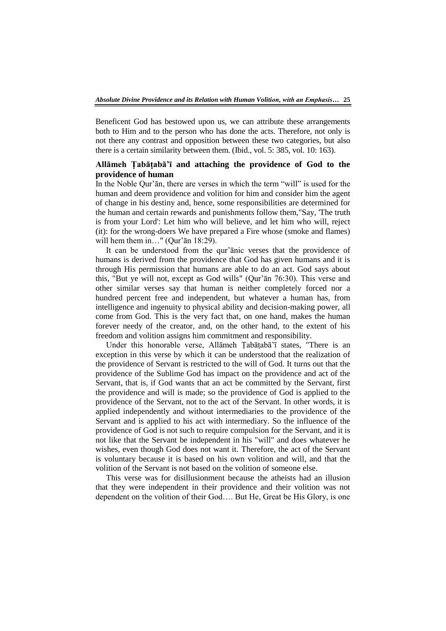Beneficent God has bestowed upon us, we can attribute these arrangements both to Him and to the person who has done the acts. Therefore, not only is not there any contrast and opposition between these two categories, but also there is a certain similarity between them. (Ibid., vol. 5: 385, vol. 10: 163).

# **Allāmeh Ṭabāṭabā'ī and attaching the providence of God to the providence of human**

In the Noble Qur'an, there are verses in which the term "will" is used for the human and deem providence and volition for him and consider him the agent of change in his destiny and, hence, some responsibilities are determined for the human and certain rewards and punishments follow them,"Say, 'The truth is from your Lord': Let him who will believe, and let him who will, reject (it): for the wrong-doers We have prepared a Fire whose (smoke and flames) will hem them in..." (Qur'ān 18:29).

It can be understood from the qur'ānic verses that the providence of humans is derived from the providence that God has given humans and it is through His permission that humans are able to do an act. God says about this, "But ye will not, except as God wills" (Qur'ān 76:30). This verse and other similar verses say that human is neither completely forced nor a hundred percent free and independent, but whatever a human has, from intelligence and ingenuity to physical ability and decision-making power, all come from God. This is the very fact that, on one hand, makes the human forever needy of the creator, and, on the other hand, to the extent of his freedom and volition assigns him commitment and responsibility.

Under this honorable verse, Allāmeh Ṭabāṭabā'ī states, "There is an exception in this verse by which it can be understood that the realization of the providence of Servant is restricted to the will of God. It turns out that the providence of the Sublime God has impact on the providence and act of the Servant, that is, if God wants that an act be committed by the Servant, first the providence and will is made; so the providence of God is applied to the providence of the Servant, not to the act of the Servant. In other words, it is applied independently and without intermediaries to the providence of the Servant and is applied to his act with intermediary. So the influence of the providence of God is not such to require compulsion for the Servant, and it is not like that the Servant be independent in his "will" and does whatever he wishes, even though God does not want it. Therefore, the act of the Servant is voluntary because it is based on his own volition and will, and that the volition of the Servant is not based on the volition of someone else.

This verse was for disillusionment because the atheists had an illusion that they were independent in their providence and their volition was not dependent on the volition of their God…. But He, Great be His Glory, is one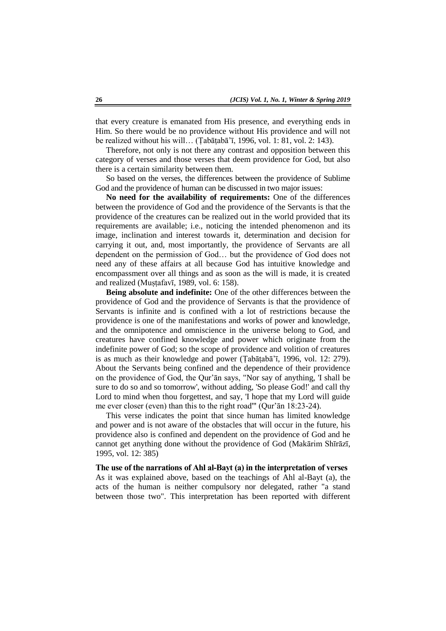that every creature is emanated from His presence, and everything ends in Him. So there would be no providence without His providence and will not be realized without his will… (Ṭabāṭabā'ī, 1996, vol. 1: 81, vol. 2: 143).

Therefore, not only is not there any contrast and opposition between this category of verses and those verses that deem providence for God, but also there is a certain similarity between them.

So based on the verses, the differences between the providence of Sublime God and the providence of human can be discussed in two major issues:

**No need for the availability of requirements:** One of the differences between the providence of God and the providence of the Servants is that the providence of the creatures can be realized out in the world provided that its requirements are available; i.e., noticing the intended phenomenon and its image, inclination and interest towards it, determination and decision for carrying it out, and, most importantly, the providence of Servants are all dependent on the permission of God… but the providence of God does not need any of these affairs at all because God has intuitive knowledge and encompassment over all things and as soon as the will is made, it is created and realized (Muṣṭafavī, 1989, vol. 6: 158).

**Being absolute and indefinite:** One of the other differences between the providence of God and the providence of Servants is that the providence of Servants is infinite and is confined with a lot of restrictions because the providence is one of the manifestations and works of power and knowledge, and the omnipotence and omniscience in the universe belong to God, and creatures have confined knowledge and power which originate from the indefinite power of God; so the scope of providence and volition of creatures is as much as their knowledge and power (Ṭabāṭabā'ī, 1996, vol. 12: 279). About the Servants being confined and the dependence of their providence on the providence of God, the Qur'ān says, "Nor say of anything, 'I shall be sure to do so and so tomorrow', without adding, 'So please God!' and call thy Lord to mind when thou forgettest, and say, 'I hope that my Lord will guide me ever closer (even) than this to the right road'" (Qur'ān 18:23-24).

This verse indicates the point that since human has limited knowledge and power and is not aware of the obstacles that will occur in the future, his providence also is confined and dependent on the providence of God and he cannot get anything done without the providence of God (Makārim Shīrāzī, 1995, vol. 12: 385)

**The use of the narrations of Ahl al-Bayt (a) in the interpretation of verses**

As it was explained above, based on the teachings of Ahl al-Bayt (a), the acts of the human is neither compulsory nor delegated, rather "a stand between those two". This interpretation has been reported with different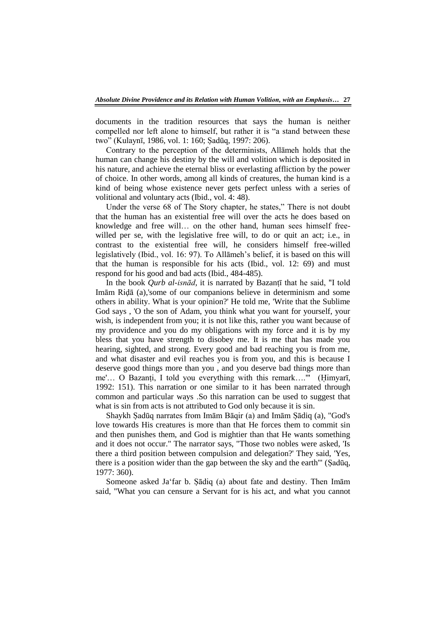documents in the tradition resources that says the human is neither compelled nor left alone to himself, but rather it is "a stand between these two‖ (Kulaynī, 1986, vol. 1: 160; Ṣadūq, 1997: 206).

Contrary to the perception of the determinists, Allāmeh holds that the human can change his destiny by the will and volition which is deposited in his nature, and achieve the eternal bliss or everlasting affliction by the power of choice. In other words, among all kinds of creatures, the human kind is a kind of being whose existence never gets perfect unless with a series of volitional and voluntary acts (Ibid., vol. 4: 48).

Under the verse 68 of The Story chapter, he states," There is not doubt that the human has an existential free will over the acts he does based on knowledge and free will… on the other hand, human sees himself freewilled per se, with the legislative free will, to do or quit an act; i.e., in contrast to the existential free will, he considers himself free-willed legislatively (Ibid., vol. 16: 97). To Allāmeh's belief, it is based on this will that the human is responsible for his acts (Ibid., vol. 12: 69) and must respond for his good and bad acts (Ibid., 484-485).

In the book *Qurb al-isnād,* it is narrated by Bazanṭī that he said, "I told Imām Riḍā (a),'some of our companions believe in determinism and some others in ability. What is your opinion?' He told me, 'Write that the Sublime God says , 'O the son of Adam, you think what you want for yourself, your wish, is independent from you; it is not like this, rather you want because of my providence and you do my obligations with my force and it is by my bless that you have strength to disobey me. It is me that has made you hearing, sighted, and strong. Every good and bad reaching you is from me, and what disaster and evil reaches you is from you, and this is because I deserve good things more than you , and you deserve bad things more than me'... O Bazanți, I told you everything with this remark...."" (Himyarī, 1992: 151). This narration or one similar to it has been narrated through common and particular ways .So this narration can be used to suggest that what is sin from acts is not attributed to God only because it is sin.

Shaykh Ṣadūq narrates from Imām Bāqir (a) and Imām Ṣādiq (a), "God's love towards His creatures is more than that He forces them to commit sin and then punishes them, and God is mightier than that He wants something and it does not occur." The narrator says, "Those two nobles were asked, 'Is there a third position between compulsion and delegation?' They said, 'Yes, there is a position wider than the gap between the sky and the earth'" (Ṣadūq, 1977: 360).

Someone asked Ja far b. Sādiq (a) about fate and destiny. Then Imām said, "What you can censure a Servant for is his act, and what you cannot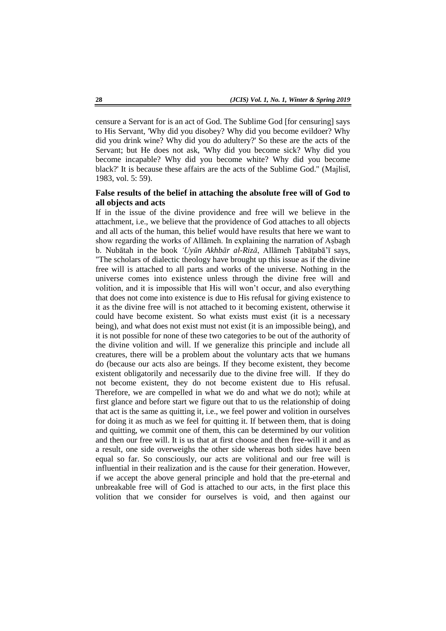censure a Servant for is an act of God. The Sublime God [for censuring] says to His Servant, 'Why did you disobey? Why did you become evildoer? Why did you drink wine? Why did you do adultery?' So these are the acts of the Servant; but He does not ask, 'Why did you become sick? Why did you become incapable? Why did you become white? Why did you become black?' It is because these affairs are the acts of the Sublime God." (Majlisī, 1983, vol. 5: 59).

# **False results of the belief in attaching the absolute free will of God to all objects and acts**

If in the issue of the divine providence and free will we believe in the attachment, i.e., we believe that the providence of God attaches to all objects and all acts of the human, this belief would have results that here we want to show regarding the works of Allāmeh. In explaining the narration of Aṣbagh b. Nubātah in the book *'Uyūn Akhbār al-Rizā*, Allāmeh Ṭabāṭabā'ī says, "The scholars of dialectic theology have brought up this issue as if the divine free will is attached to all parts and works of the universe. Nothing in the universe comes into existence unless through the divine free will and volition, and it is impossible that His will won't occur, and also everything that does not come into existence is due to His refusal for giving existence to it as the divine free will is not attached to it becoming existent, otherwise it could have become existent. So what exists must exist (it is a necessary being), and what does not exist must not exist (it is an impossible being), and it is not possible for none of these two categories to be out of the authority of the divine volition and will. If we generalize this principle and include all creatures, there will be a problem about the voluntary acts that we humans do (because our acts also are beings. If they become existent, they become existent obligatorily and necessarily due to the divine free will. If they do not become existent, they do not become existent due to His refusal. Therefore, we are compelled in what we do and what we do not); while at first glance and before start we figure out that to us the relationship of doing that act is the same as quitting it, i.e., we feel power and volition in ourselves for doing it as much as we feel for quitting it. If between them, that is doing and quitting, we commit one of them, this can be determined by our volition and then our free will. It is us that at first choose and then free-will it and as a result, one side overweighs the other side whereas both sides have been equal so far. So consciously, our acts are volitional and our free will is influential in their realization and is the cause for their generation. However, if we accept the above general principle and hold that the pre-eternal and unbreakable free will of God is attached to our acts, in the first place this volition that we consider for ourselves is void, and then against our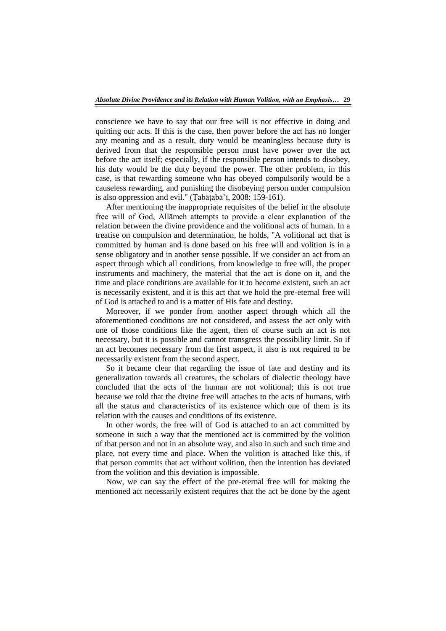conscience we have to say that our free will is not effective in doing and quitting our acts. If this is the case, then power before the act has no longer any meaning and as a result, duty would be meaningless because duty is derived from that the responsible person must have power over the act before the act itself; especially, if the responsible person intends to disobey, his duty would be the duty beyond the power. The other problem, in this case, is that rewarding someone who has obeyed compulsorily would be a causeless rewarding, and punishing the disobeying person under compulsion is also oppression and evil." (Ṭabāṭabā'ī, 2008: 159-161).

After mentioning the inappropriate requisites of the belief in the absolute free will of God, Allāmeh attempts to provide a clear explanation of the relation between the divine providence and the volitional acts of human. In a treatise on compulsion and determination, he holds, "A volitional act that is committed by human and is done based on his free will and volition is in a sense obligatory and in another sense possible. If we consider an act from an aspect through which all conditions, from knowledge to free will, the proper instruments and machinery, the material that the act is done on it, and the time and place conditions are available for it to become existent, such an act is necessarily existent, and it is this act that we hold the pre-eternal free will of God is attached to and is a matter of His fate and destiny.

Moreover, if we ponder from another aspect through which all the aforementioned conditions are not considered, and assess the act only with one of those conditions like the agent, then of course such an act is not necessary, but it is possible and cannot transgress the possibility limit. So if an act becomes necessary from the first aspect, it also is not required to be necessarily existent from the second aspect.

So it became clear that regarding the issue of fate and destiny and its generalization towards all creatures, the scholars of dialectic theology have concluded that the acts of the human are not volitional; this is not true because we told that the divine free will attaches to the acts of humans, with all the status and characteristics of its existence which one of them is its relation with the causes and conditions of its existence.

In other words, the free will of God is attached to an act committed by someone in such a way that the mentioned act is committed by the volition of that person and not in an absolute way, and also in such and such time and place, not every time and place. When the volition is attached like this, if that person commits that act without volition, then the intention has deviated from the volition and this deviation is impossible.

Now, we can say the effect of the pre-eternal free will for making the mentioned act necessarily existent requires that the act be done by the agent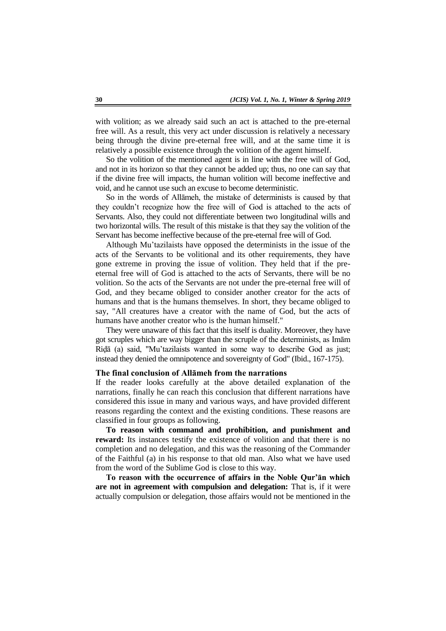with volition; as we already said such an act is attached to the pre-eternal free will. As a result, this very act under discussion is relatively a necessary being through the divine pre-eternal free will, and at the same time it is relatively a possible existence through the volition of the agent himself.

So the volition of the mentioned agent is in line with the free will of God, and not in its horizon so that they cannot be added up; thus, no one can say that if the divine free will impacts, the human volition will become ineffective and void, and he cannot use such an excuse to become deterministic.

So in the words of Allāmeh, the mistake of determinists is caused by that they couldn't recognize how the free will of God is attached to the acts of Servants. Also, they could not differentiate between two longitudinal wills and two horizontal wills. The result of this mistake is that they say the volition of the Servant has become ineffective because of the pre-eternal free will of God.

Although Mu'tazilaists have opposed the determinists in the issue of the acts of the Servants to be volitional and its other requirements, they have gone extreme in proving the issue of volition. They held that if the preeternal free will of God is attached to the acts of Servants, there will be no volition. So the acts of the Servants are not under the pre-eternal free will of God, and they became obliged to consider another creator for the acts of humans and that is the humans themselves. In short, they became obliged to say, "All creatures have a creator with the name of God, but the acts of humans have another creator who is the human himself."

They were unaware of this fact that this itself is duality. Moreover, they have got scruples which are way bigger than the scruple of the determinists, as Imām Riḍā (a) said, "Mu'tazilaists wanted in some way to describe God as just; instead they denied the omnipotence and sovereignty of God" (Ibid., 167-175).

# **The final conclusion of Allāmeh from the narrations**

If the reader looks carefully at the above detailed explanation of the narrations, finally he can reach this conclusion that different narrations have considered this issue in many and various ways, and have provided different reasons regarding the context and the existing conditions. These reasons are classified in four groups as following.

**To reason with command and prohibition, and punishment and reward:** Its instances testify the existence of volition and that there is no completion and no delegation, and this was the reasoning of the Commander of the Faithful (a) in his response to that old man. Also what we have used from the word of the Sublime God is close to this way.

**To reason with the occurrence of affairs in the Noble Qur'ān which are not in agreement with compulsion and delegation:** That is, if it were actually compulsion or delegation, those affairs would not be mentioned in the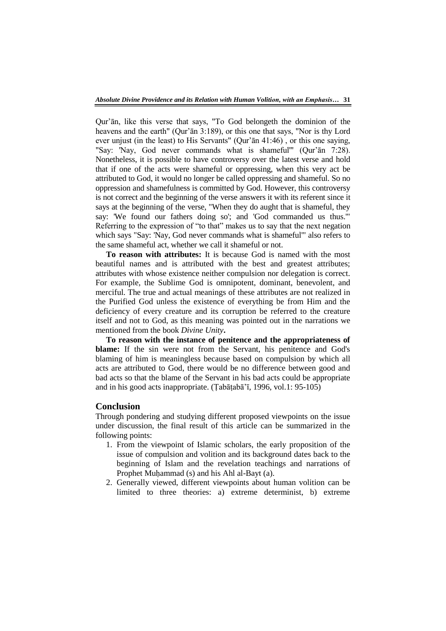Qur'ān, like this verse that says, "To God belongeth the dominion of the heavens and the earth" (Qur'ān 3:189), or this one that says, "Nor is thy Lord ever unjust (in the least) to His Servants" (Qur'ān 41:46) , or this one saying, "Say: 'Nay, God never commands what is shameful'" (Qur'ān 7:28). Nonetheless, it is possible to have controversy over the latest verse and hold that if one of the acts were shameful or oppressing, when this very act be attributed to God, it would no longer be called oppressing and shameful. So no oppression and shamefulness is committed by God. However, this controversy is not correct and the beginning of the verse answers it with its referent since it says at the beginning of the verse, "When they do aught that is shameful, they say: 'We found our fathers doing so'; and 'God commanded us thus.'" Referring to the expression of "to that" makes us to say that the next negation which says "Say: 'Nay, God never commands what is shameful'" also refers to the same shameful act, whether we call it shameful or not.

**To reason with attributes:** It is because God is named with the most beautiful names and is attributed with the best and greatest attributes; attributes with whose existence neither compulsion nor delegation is correct. For example, the Sublime God is omnipotent, dominant, benevolent, and merciful. The true and actual meanings of these attributes are not realized in the Purified God unless the existence of everything be from Him and the deficiency of every creature and its corruption be referred to the creature itself and not to God, as this meaning was pointed out in the narrations we mentioned from the book *Divine Unity***.** 

**To reason with the instance of penitence and the appropriateness of blame:** If the sin were not from the Servant, his penitence and God's blaming of him is meaningless because based on compulsion by which all acts are attributed to God, there would be no difference between good and bad acts so that the blame of the Servant in his bad acts could be appropriate and in his good acts inappropriate. (Ṭabāṭabā'ī, 1996, vol.1: 95-105)

## **Conclusion**

Through pondering and studying different proposed viewpoints on the issue under discussion, the final result of this article can be summarized in the following points:

- 1. From the viewpoint of Islamic scholars, the early proposition of the issue of compulsion and volition and its background dates back to the beginning of Islam and the revelation teachings and narrations of Prophet Muhammad (s) and his Ahl al-Bayt (a).
- 2. Generally viewed, different viewpoints about human volition can be limited to three theories: a) extreme determinist, b) extreme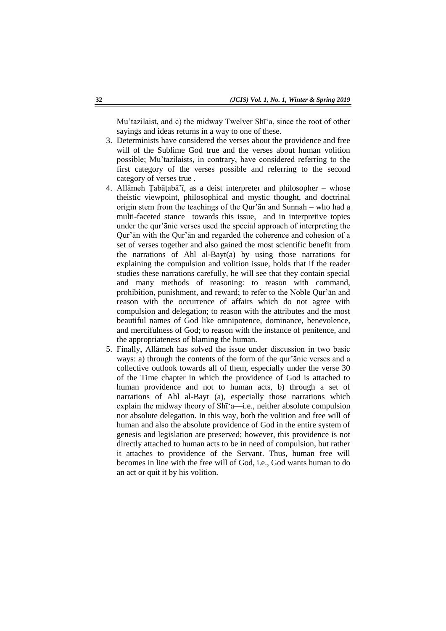Mu'tazilaist, and c) the midway Twelver Shī'a, since the root of other sayings and ideas returns in a way to one of these.

- 3. Determinists have considered the verses about the providence and free will of the Sublime God true and the verses about human volition possible; Mu'tazilaists, in contrary, have considered referring to the first category of the verses possible and referring to the second category of verses true .
- 4. Allāmeh Ṭabāṭabā'ī, as a deist interpreter and philosopher whose theistic viewpoint, philosophical and mystic thought, and doctrinal origin stem from the teachings of the Qur'ān and Sunnah – who had a multi-faceted stance towards this issue, and in interpretive topics under the qur'ānic verses used the special approach of interpreting the Qur'ān with the Qur'ān and regarded the coherence and cohesion of a set of verses together and also gained the most scientific benefit from the narrations of Ahl al-Bayt(a) by using those narrations for explaining the compulsion and volition issue, holds that if the reader studies these narrations carefully, he will see that they contain special and many methods of reasoning: to reason with command, prohibition, punishment, and reward; to refer to the Noble Qur'ān and reason with the occurrence of affairs which do not agree with compulsion and delegation; to reason with the attributes and the most beautiful names of God like omnipotence, dominance, benevolence, and mercifulness of God; to reason with the instance of penitence, and the appropriateness of blaming the human.
- 5. Finally, Allāmeh has solved the issue under discussion in two basic ways: a) through the contents of the form of the qur'ānic verses and a collective outlook towards all of them, especially under the verse 30 of the Time chapter in which the providence of God is attached to human providence and not to human acts, b) through a set of narrations of Ahl al-Bayt (a), especially those narrations which explain the midway theory of Shī<sup> $\dagger$ </sup>a—i.e., neither absolute compulsion nor absolute delegation. In this way, both the volition and free will of human and also the absolute providence of God in the entire system of genesis and legislation are preserved; however, this providence is not directly attached to human acts to be in need of compulsion, but rather it attaches to providence of the Servant. Thus, human free will becomes in line with the free will of God, i.e., God wants human to do an act or quit it by his volition.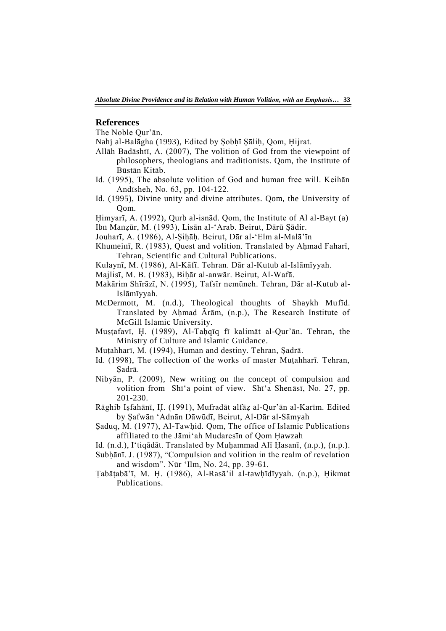## **References**

The Noble Qur'ān.

Nahj al-Balāgha (1993), Edited by Şobḥī Şāliḥ, Qom, Ḥijrat.

- Allāh Badāshtī, A. (2007), The volition of God from the viewpoint of philosophers, theologians and traditionists. Qom, the Institute of Būstān Kitāb.
- Id. (1995), The absolute volition of God and human free will. Keihān Andīsheh, No. 63, pp. 104-122.
- Id. (1995), Divine unity and divine attributes. Qom, the University of Qom.

Himyarī, A. (1992), Ourb al-isnād. Oom, the Institute of Al al-Bayt (a) Ibn Manẓūr, M. (1993), Lisān al-‗Arab. Beirut, Dārū Ṣādir.

- Jouharī, A. (1986), Al-Ṣiḥāḥ. Beirut, Dār al-‗Elm al-Malā'īn
- Khumeinī, R. (1983), Quest and volition. Translated by Ahmad Faharī, Tehran, Scientific and Cultural Publications.

Kulaynī, M. (1986), Al-Kāfī. Tehran. Dār al-Kutub al-Islāmīyyah.

- Majlisī, M. B. (1983), Biḥār al-anwār. Beirut, Al-Wafā.
- Makārim Shīrāzī, N. (1995), Tafsīr nemūneh. Tehran, Dār al-Kutub al-Islāmīyyah.
- McDermott, M. (n.d.), Theological thoughts of Shaykh Mufīd. Translated by Aḥmad Ārām, (n.p.), The Research Institute of McGill Islamic University.
- Muṣṭafavī, ῌ. (1989), Al-Taḥqīq fī kalimāt al-Qur'ān. Tehran, the Ministry of Culture and Islamic Guidance.
- Muṭahharī, M. (1994), Human and destiny. Tehran, Ṣadrā.
- Id. (1998), The collection of the works of master Muṭahharī. Tehran, Ṣadrā.
- Nibyān, P. (2009), New writing on the concept of compulsion and volition from Shī<sup>*'a*</sup> point of view. Shī<sup>*'a*</sup> Shenāsī, No. 27, pp. 201-230.
- Rāghib Iṣfahānī, ῌ. (1991), Mufradāt alfāẓ al-Qur'ān al-Karīm. Edited by Ṣafwān ‗Adnān Dāwūdī, Beirut, Al-Dār al-Sāmyah
- Ṣaduq, M. (1977), Al-Tawḥid. Qom, The office of Islamic Publications affiliated to the Jāmi'ah Mudaresin of Qom Hawzah
- Id. (n.d.), I'tiqādāt. Translated by Muḥammad Alī Ḥasanī, (n.p.), (n.p.).
- Subḥānī. J. (1987), "Compulsion and volition in the realm of revelation and wisdom". Nūr 'Ilm, No. 24, pp. 39-61.
- Ṭabāṭabā'ī, M. ῌ. (1986), Al-Rasā'il al-tawḥīdīyyah. (n.p.), ῌikmat Publications.